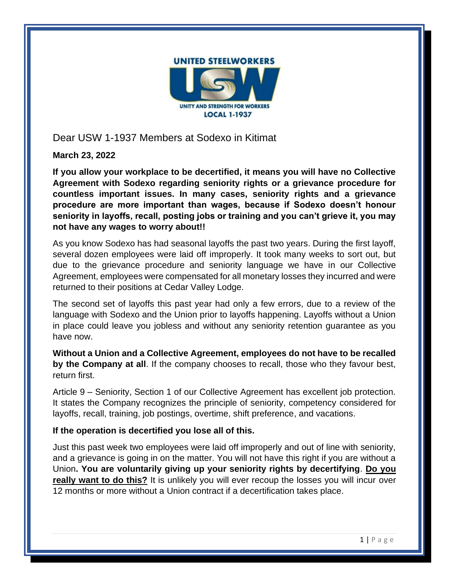

Dear USW 1-1937 Members at Sodexo in Kitimat

**March 23, 2022**

**If you allow your workplace to be decertified, it means you will have no Collective Agreement with Sodexo regarding seniority rights or a grievance procedure for countless important issues. In many cases, seniority rights and a grievance procedure are more important than wages, because if Sodexo doesn't honour seniority in layoffs, recall, posting jobs or training and you can't grieve it, you may not have any wages to worry about!!**

As you know Sodexo has had seasonal layoffs the past two years. During the first layoff, several dozen employees were laid off improperly. It took many weeks to sort out, but due to the grievance procedure and seniority language we have in our Collective Agreement, employees were compensated for all monetary losses they incurred and were returned to their positions at Cedar Valley Lodge.

The second set of layoffs this past year had only a few errors, due to a review of the language with Sodexo and the Union prior to layoffs happening. Layoffs without a Union in place could leave you jobless and without any seniority retention guarantee as you have now.

**Without a Union and a Collective Agreement, employees do not have to be recalled by the Company at all**. If the company chooses to recall, those who they favour best, return first.

Article 9 – Seniority, Section 1 of our Collective Agreement has excellent job protection. It states the Company recognizes the principle of seniority, competency considered for layoffs, recall, training, job postings, overtime, shift preference, and vacations.

## **If the operation is decertified you lose all of this.**

Just this past week two employees were laid off improperly and out of line with seniority, and a grievance is going in on the matter. You will not have this right if you are without a Union**. You are voluntarily giving up your seniority rights by decertifying**. **Do you really want to do this?** It is unlikely you will ever recoup the losses you will incur over 12 months or more without a Union contract if a decertification takes place.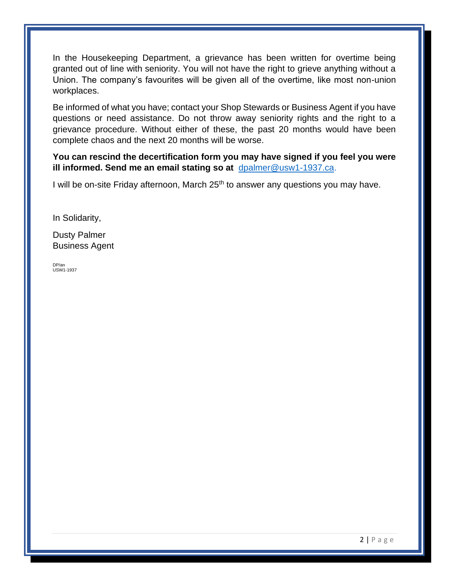In the Housekeeping Department, a grievance has been written for overtime being granted out of line with seniority. You will not have the right to grieve anything without a Union. The company's favourites will be given all of the overtime, like most non-union workplaces.

Be informed of what you have; contact your Shop Stewards or Business Agent if you have questions or need assistance. Do not throw away seniority rights and the right to a grievance procedure. Without either of these, the past 20 months would have been complete chaos and the next 20 months will be worse.

**You can rescind the decertification form you may have signed if you feel you were ill informed. Send me an email stating so at** [dpalmer@usw1-1937.ca.](mailto:dpalmer@usw1-1937.ca)

I will be on-site Friday afternoon, March 25<sup>th</sup> to answer any questions you may have.

In Solidarity,

Dusty Palmer Business Agent

DP/an USW1-1937